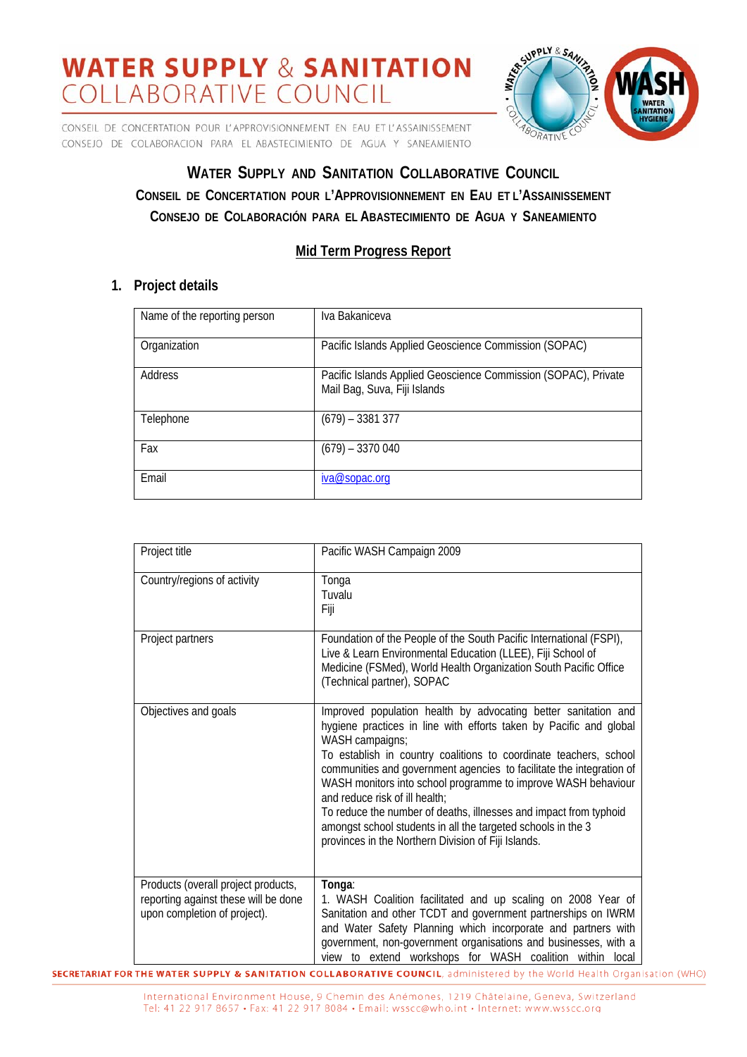CONSEIL DE CONCERTATION POUR L'APPROVISIONNEMENT EN EAU ET L'ASSAINISSEMENT CONSEJO DE COLABORACION PARA EL ABASTECIMIENTO DE AGUA Y SANEAMIENTO



## **WATER SUPPLY AND SANITATION COLLABORATIVE COUNCIL CONSEIL DE CONCERTATION POUR L'APPROVISIONNEMENT EN EAU ET L'ASSAINISSEMENT CONSEJO DE COLABORACIÓN PARA EL ABASTECIMIENTO DE AGUA Y SANEAMIENTO**

### **Mid Term Progress Report**

### **1. Project details**

| Name of the reporting person | Iva Bakaniceva                                                                                 |
|------------------------------|------------------------------------------------------------------------------------------------|
| Organization                 | Pacific Islands Applied Geoscience Commission (SOPAC)                                          |
| Address                      | Pacific Islands Applied Geoscience Commission (SOPAC), Private<br>Mail Bag, Suva, Fiji Islands |
| Telephone                    | $(679) - 3381377$                                                                              |
| Fax                          | $(679) - 3370040$                                                                              |
| Email                        | iva@sopac.org                                                                                  |

| Project title                                                                                               | Pacific WASH Campaign 2009                                                                                                                                                                                                                                                                                                                                                                                                                                                                                                                                                                          |
|-------------------------------------------------------------------------------------------------------------|-----------------------------------------------------------------------------------------------------------------------------------------------------------------------------------------------------------------------------------------------------------------------------------------------------------------------------------------------------------------------------------------------------------------------------------------------------------------------------------------------------------------------------------------------------------------------------------------------------|
| Country/regions of activity                                                                                 | Tonga<br>Tuvalu<br>Fiji                                                                                                                                                                                                                                                                                                                                                                                                                                                                                                                                                                             |
| Project partners                                                                                            | Foundation of the People of the South Pacific International (FSPI),<br>Live & Learn Environmental Education (LLEE), Fiji School of<br>Medicine (FSMed), World Health Organization South Pacific Office<br>(Technical partner), SOPAC                                                                                                                                                                                                                                                                                                                                                                |
| Objectives and goals                                                                                        | Improved population health by advocating better sanitation and<br>hygiene practices in line with efforts taken by Pacific and global<br>WASH campaigns;<br>To establish in country coalitions to coordinate teachers, school<br>communities and government agencies to facilitate the integration of<br>WASH monitors into school programme to improve WASH behaviour<br>and reduce risk of ill health:<br>To reduce the number of deaths, illnesses and impact from typhoid<br>amongst school students in all the targeted schools in the 3<br>provinces in the Northern Division of Fiji Islands. |
| Products (overall project products,<br>reporting against these will be done<br>upon completion of project). | Tonga:<br>1. WASH Coalition facilitated and up scaling on 2008 Year of<br>Sanitation and other TCDT and government partnerships on IWRM<br>and Water Safety Planning which incorporate and partners with<br>government, non-government organisations and businesses, with a<br>view to extend workshops for WASH coalition within local                                                                                                                                                                                                                                                             |

**SECRETARIAT FOR THE WATER SUPPLY & SANITATION COLLABORATIVE COUNCIL**, administered by the World Health Organisation (WHO)

International Environment House, 9 Chemin des Anémones, 1219 Châtelaine, Geneva, Switzerland Tel: 41 22 917 8657 · Fax: 41 22 917 8084 · Email: wsscc@who.int · Internet: www.wsscc.org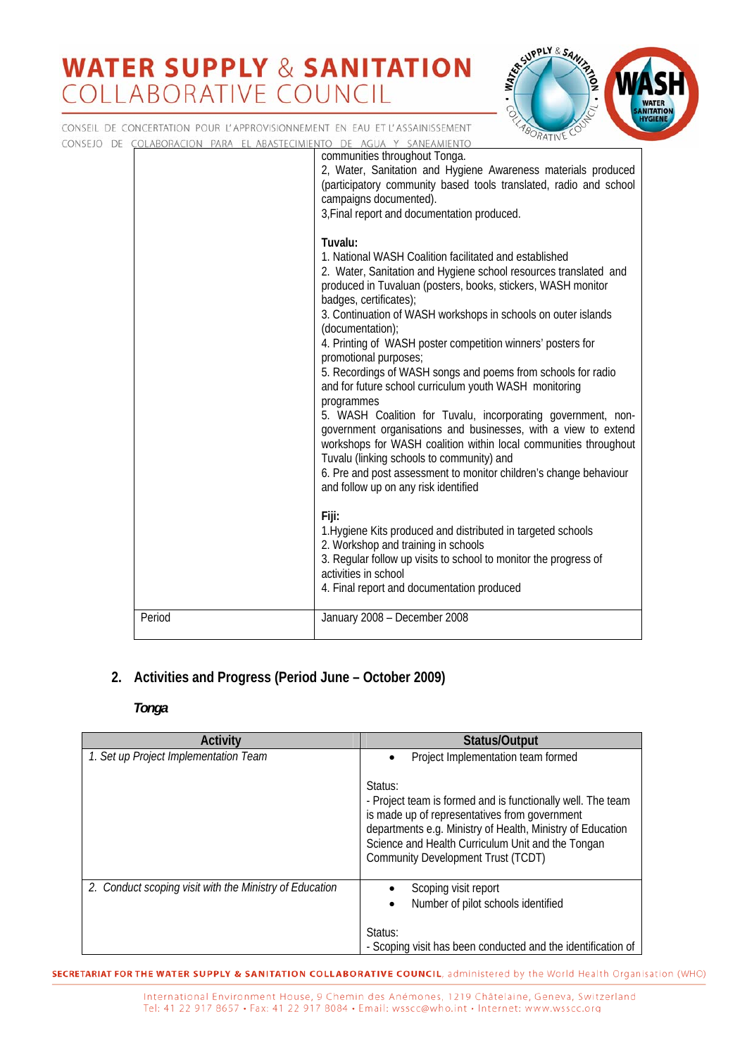

CONSEIL DE CONCERTATION POUR L'APPROVISIONNEMENT EN EAU ET L'ASSAINISSEMENT CONSEJO DE COLABORACION PARA EL ABASTECIMIENTO DE AGUA Y SANEAMIENTO communities throughout Tonga. 2, Water, Sanitation and Hygiene Awareness materials produced (participatory community based tools translated, radio and school campaigns documented). 3,Final report and documentation produced. **Tuvalu:** 1. National WASH Coalition facilitated and established 2. Water, Sanitation and Hygiene school resources translated and produced in Tuvaluan (posters, books, stickers, WASH monitor badges, certificates); 3. Continuation of WASH workshops in schools on outer islands (documentation); 4. Printing of WASH poster competition winners' posters for promotional purposes; 5. Recordings of WASH songs and poems from schools for radio and for future school curriculum youth WASH monitoring programmes 5. WASH Coalition for Tuvalu, incorporating government, nongovernment organisations and businesses, with a view to extend workshops for WASH coalition within local communities throughout Tuvalu (linking schools to community) and 6. Pre and post assessment to monitor children's change behaviour and follow up on any risk identified **Fiji:**  1.Hygiene Kits produced and distributed in targeted schools 2. Workshop and training in schools 3. Regular follow up visits to school to monitor the progress of activities in school 4. Final report and documentation produced Period January 2008 – December 2008

## **2. Activities and Progress (Period June – October 2009)**

### *Tonga*

| Activity                                                | Status/Output                                                                                                                                                                                                                                                                    |
|---------------------------------------------------------|----------------------------------------------------------------------------------------------------------------------------------------------------------------------------------------------------------------------------------------------------------------------------------|
| 1. Set up Project Implementation Team                   | Project Implementation team formed                                                                                                                                                                                                                                               |
|                                                         | Status:<br>- Project team is formed and is functionally well. The team<br>is made up of representatives from government<br>departments e.g. Ministry of Health, Ministry of Education<br>Science and Health Curriculum Unit and the Tongan<br>Community Development Trust (TCDT) |
| 2. Conduct scoping visit with the Ministry of Education | Scoping visit report<br>Number of pilot schools identified                                                                                                                                                                                                                       |
|                                                         | Status:<br>- Scoping visit has been conducted and the identification of                                                                                                                                                                                                          |

**SECRETARIAT FOR THE WATER SUPPLY & SANITATION COLLABORATIVE COUNCIL**, administered by the World Health Organisation (WHO)

International Environment House, 9 Chemin des Anémones, 1219 Châtelaine, Geneva, Switzerland Tel: 41 22 917 8657 · Fax: 41 22 917 8084 · Email: wsscc@who.int · Internet: www.wsscc.org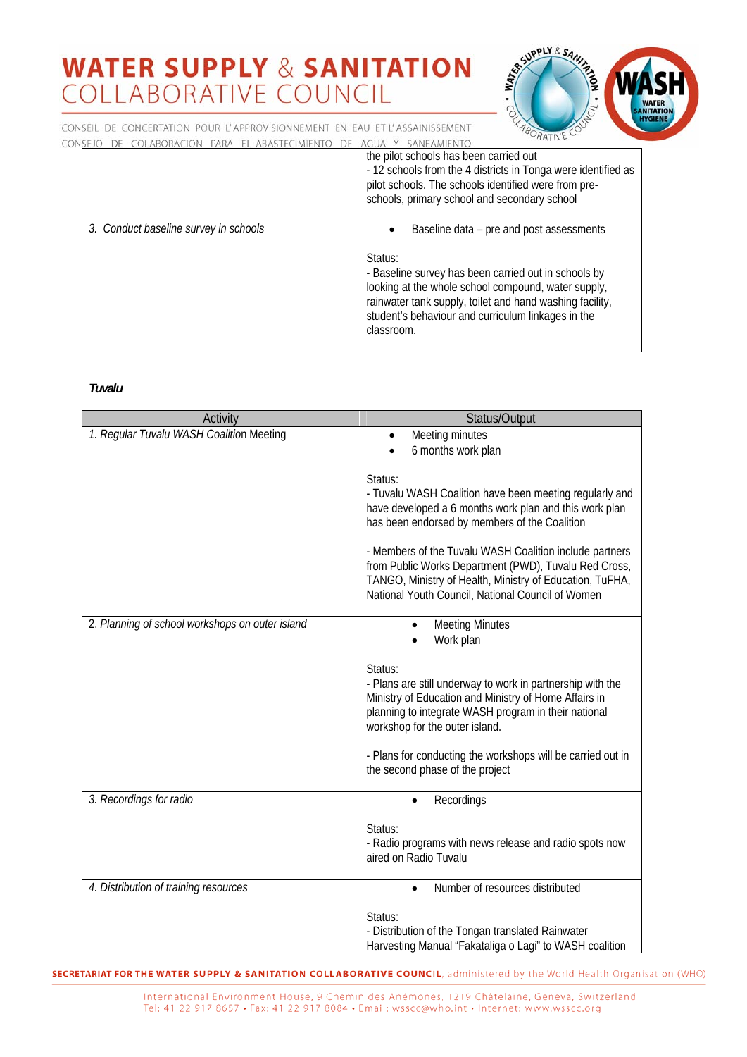

CONSEIL DE CONCERTATION POUR L'APPROVISIONNEMENT EN EAU ET L'ASSAINISSEMENT CONSEJO

|                                       | the pilot schools has been carried out<br>- 12 schools from the 4 districts in Tonga were identified as<br>pilot schools. The schools identified were from pre-<br>schools, primary school and secondary school                                                                                    |
|---------------------------------------|----------------------------------------------------------------------------------------------------------------------------------------------------------------------------------------------------------------------------------------------------------------------------------------------------|
| 3. Conduct baseline survey in schools | Baseline data – pre and post assessments<br>Status:<br>- Baseline survey has been carried out in schools by<br>looking at the whole school compound, water supply,<br>rainwater tank supply, toilet and hand washing facility,<br>student's behaviour and curriculum linkages in the<br>classroom. |

#### Tuvalu

| Activity                                        | Status/Output                                                                                                                                                                                                                     |
|-------------------------------------------------|-----------------------------------------------------------------------------------------------------------------------------------------------------------------------------------------------------------------------------------|
| 1. Regular Tuvalu WASH Coalition Meeting        | Meeting minutes                                                                                                                                                                                                                   |
|                                                 | 6 months work plan                                                                                                                                                                                                                |
|                                                 | Status:<br>- Tuvalu WASH Coalition have been meeting regularly and                                                                                                                                                                |
|                                                 | have developed a 6 months work plan and this work plan<br>has been endorsed by members of the Coalition                                                                                                                           |
|                                                 | - Members of the Tuvalu WASH Coalition include partners<br>from Public Works Department (PWD), Tuvalu Red Cross,<br>TANGO, Ministry of Health, Ministry of Education, TuFHA,<br>National Youth Council, National Council of Women |
| 2. Planning of school workshops on outer island | <b>Meeting Minutes</b><br>Work plan                                                                                                                                                                                               |
|                                                 | Status:<br>- Plans are still underway to work in partnership with the<br>Ministry of Education and Ministry of Home Affairs in<br>planning to integrate WASH program in their national<br>workshop for the outer island.          |
|                                                 | - Plans for conducting the workshops will be carried out in<br>the second phase of the project                                                                                                                                    |
| 3. Recordings for radio                         | Recordings                                                                                                                                                                                                                        |
|                                                 | Status:<br>- Radio programs with news release and radio spots now<br>aired on Radio Tuvalu                                                                                                                                        |
| 4. Distribution of training resources           | Number of resources distributed                                                                                                                                                                                                   |
|                                                 | Status:<br>- Distribution of the Tongan translated Rainwater<br>Harvesting Manual "Fakataliga o Lagi" to WASH coalition                                                                                                           |

**SECRETARIAT FOR THE WATER SUPPLY & SANITATION COLLABORATIVE COUNCIL**, administered by the World Health Organisation (WHO)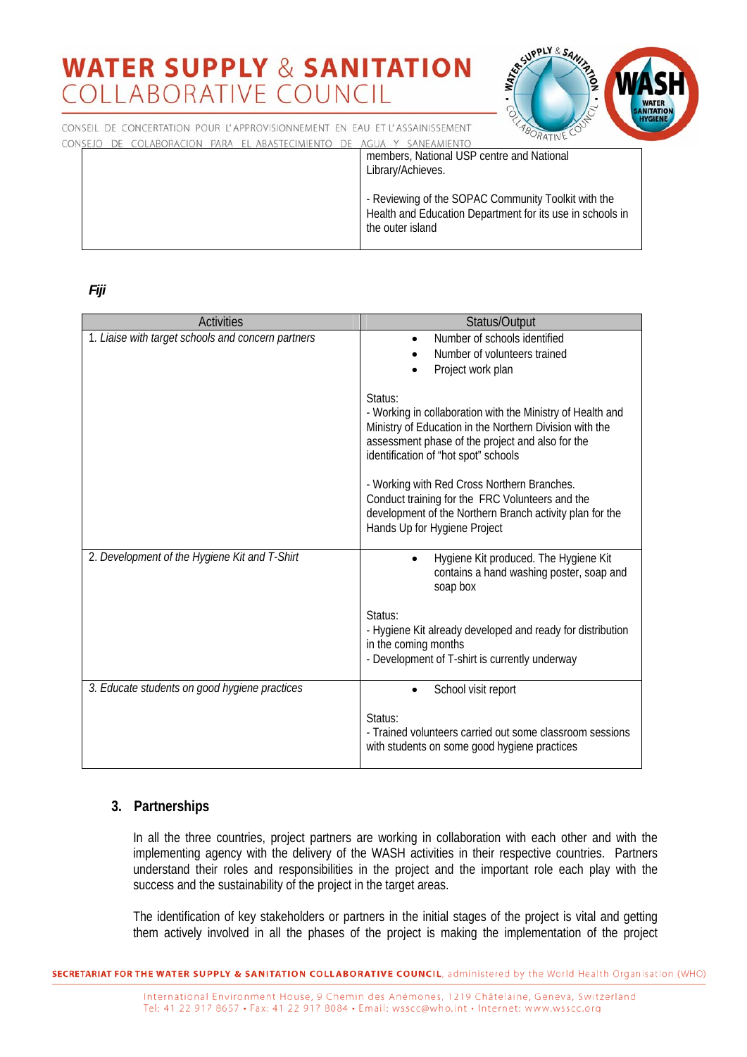

CONSEIL DE CONCERTATION POUR L'APPROVISIONNEMENT EN EAU ET L'ASSAINISSEMENT CONSEJO DE OLADODACIÓN DADA EL ADACTECIMIENTO DE ACUA V CANIFAMIENT

|  | members, National USP centre and National<br>Library/Achieves.                                                                       |
|--|--------------------------------------------------------------------------------------------------------------------------------------|
|  | - Reviewing of the SOPAC Community Toolkit with the<br>Health and Education Department for its use in schools in<br>the outer island |

*Fiji* 

| <b>Activities</b>                                  | Status/Output                                                                                                                                                                                                                |
|----------------------------------------------------|------------------------------------------------------------------------------------------------------------------------------------------------------------------------------------------------------------------------------|
| 1. Liaise with target schools and concern partners | Number of schools identified<br>Number of volunteers trained<br>Project work plan                                                                                                                                            |
|                                                    | Status:<br>- Working in collaboration with the Ministry of Health and<br>Ministry of Education in the Northern Division with the<br>assessment phase of the project and also for the<br>identification of "hot spot" schools |
|                                                    | - Working with Red Cross Northern Branches.<br>Conduct training for the FRC Volunteers and the<br>development of the Northern Branch activity plan for the<br>Hands Up for Hygiene Project                                   |
| 2. Development of the Hygiene Kit and T-Shirt      | Hygiene Kit produced. The Hygiene Kit<br>$\bullet$<br>contains a hand washing poster, soap and<br>soap box                                                                                                                   |
|                                                    | Status:<br>- Hygiene Kit already developed and ready for distribution<br>in the coming months<br>- Development of T-shirt is currently underway                                                                              |
| 3. Educate students on good hygiene practices      | School visit report                                                                                                                                                                                                          |
|                                                    | Status:<br>- Trained volunteers carried out some classroom sessions<br>with students on some good hygiene practices                                                                                                          |

### **3. Partnerships**

In all the three countries, project partners are working in collaboration with each other and with the implementing agency with the delivery of the WASH activities in their respective countries. Partners understand their roles and responsibilities in the project and the important role each play with the success and the sustainability of the project in the target areas.

The identification of key stakeholders or partners in the initial stages of the project is vital and getting them actively involved in all the phases of the project is making the implementation of the project

**SECRETARIAT FOR THE WATER SUPPLY & SANITATION COLLABORATIVE COUNCIL**, administered by the World Health Organisation (WHO)